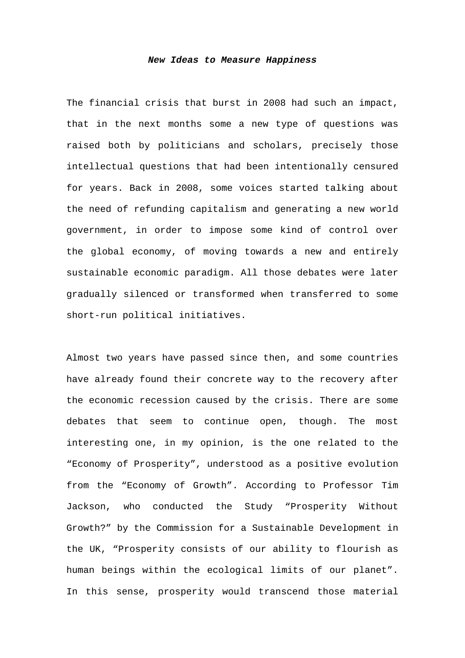## *New Ideas to Measure Happiness*

The financial crisis that burst in 2008 had such an impact, that in the next months some a new type of questions was raised both by politicians and scholars, precisely those intellectual questions that had been intentionally censured for years. Back in 2008, some voices started talking about the need of refunding capitalism and generating a new world government, in order to impose some kind of control over the global economy, of moving towards a new and entirely sustainable economic paradigm. All those debates were later gradually silenced or transformed when transferred to some short-run political initiatives.

Almost two years have passed since then, and some countries have already found their concrete way to the recovery after the economic recession caused by the crisis. There are some debates that seem to continue open, though. The most interesting one, in my opinion, is the one related to the "Economy of Prosperity", understood as a positive evolution from the "Economy of Growth". According to Professor Tim Jackson, who conducted the Study "Prosperity Without Growth?" by the Commission for a Sustainable Development in the UK, "Prosperity consists of our ability to flourish as human beings within the ecological limits of our planet". In this sense, prosperity would transcend those material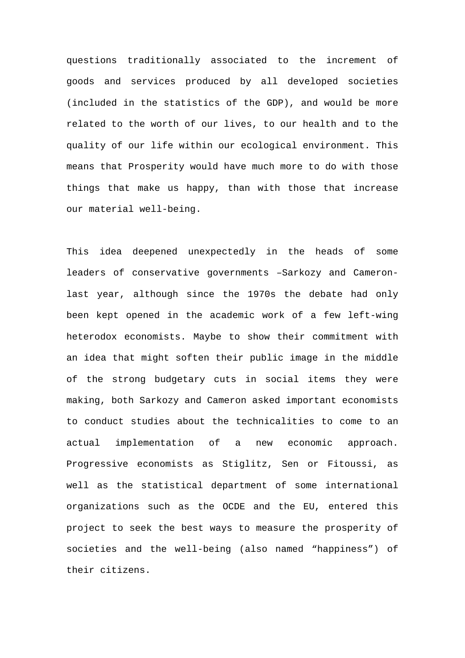questions traditionally associated to the increment of goods and services produced by all developed societies (included in the statistics of the GDP), and would be more related to the worth of our lives, to our health and to the quality of our life within our ecological environment. This means that Prosperity would have much more to do with those things that make us happy, than with those that increase our material well-being.

This idea deepened unexpectedly in the heads of some leaders of conservative governments –Sarkozy and Cameronlast year, although since the 1970s the debate had only been kept opened in the academic work of a few left-wing heterodox economists. Maybe to show their commitment with an idea that might soften their public image in the middle of the strong budgetary cuts in social items they were making, both Sarkozy and Cameron asked important economists to conduct studies about the technicalities to come to an actual implementation of a new economic approach. Progressive economists as Stiglitz, Sen or Fitoussi, as well as the statistical department of some international organizations such as the OCDE and the EU, entered this project to seek the best ways to measure the prosperity of societies and the well-being (also named "happiness") of their citizens.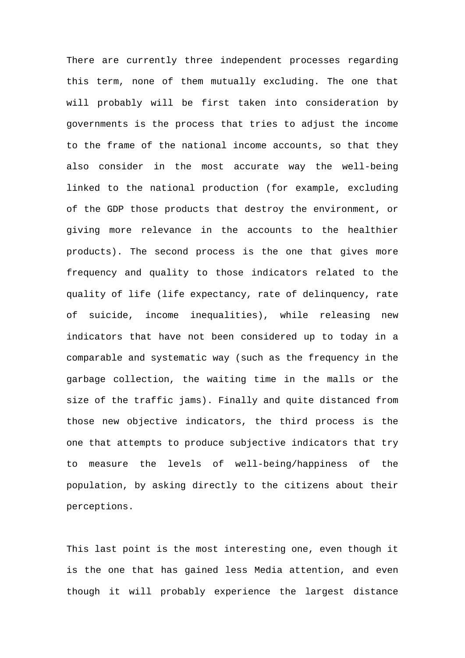There are currently three independent processes regarding this term, none of them mutually excluding. The one that will probably will be first taken into consideration by governments is the process that tries to adjust the income to the frame of the national income accounts, so that they also consider in the most accurate way the well-being linked to the national production (for example, excluding of the GDP those products that destroy the environment, or giving more relevance in the accounts to the healthier products). The second process is the one that gives more frequency and quality to those indicators related to the quality of life (life expectancy, rate of delinquency, rate of suicide, income inequalities), while releasing new indicators that have not been considered up to today in a comparable and systematic way (such as the frequency in the garbage collection, the waiting time in the malls or the size of the traffic jams). Finally and quite distanced from those new objective indicators, the third process is the one that attempts to produce subjective indicators that try to measure the levels of well-being/happiness of the population, by asking directly to the citizens about their perceptions.

This last point is the most interesting one, even though it is the one that has gained less Media attention, and even though it will probably experience the largest distance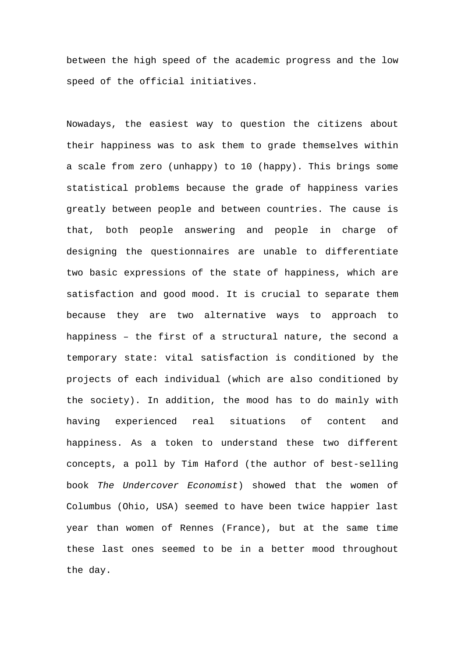between the high speed of the academic progress and the low speed of the official initiatives.

Nowadays, the easiest way to question the citizens about their happiness was to ask them to grade themselves within a scale from zero (unhappy) to 10 (happy). This brings some statistical problems because the grade of happiness varies greatly between people and between countries. The cause is that, both people answering and people in charge of designing the questionnaires are unable to differentiate two basic expressions of the state of happiness, which are satisfaction and good mood. It is crucial to separate them because they are two alternative ways to approach to happiness – the first of a structural nature, the second a temporary state: vital satisfaction is conditioned by the projects of each individual (which are also conditioned by the society). In addition, the mood has to do mainly with having experienced real situations of content and happiness. As a token to understand these two different concepts, a poll by Tim Haford (the author of best-selling book *The Undercover Economist*) showed that the women of Columbus (Ohio, USA) seemed to have been twice happier last year than women of Rennes (France), but at the same time these last ones seemed to be in a better mood throughout the day.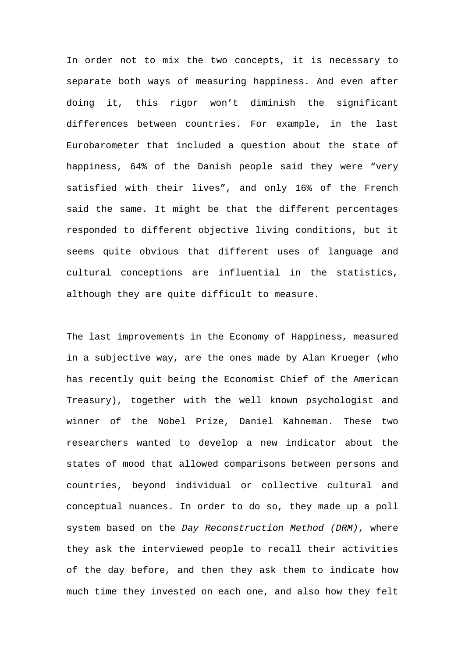In order not to mix the two concepts, it is necessary to separate both ways of measuring happiness. And even after doing it, this rigor won't diminish the significant differences between countries. For example, in the last Eurobarometer that included a question about the state of happiness, 64% of the Danish people said they were "very satisfied with their lives", and only 16% of the French said the same. It might be that the different percentages responded to different objective living conditions, but it seems quite obvious that different uses of language and cultural conceptions are influential in the statistics, although they are quite difficult to measure.

The last improvements in the Economy of Happiness, measured in a subjective way, are the ones made by Alan Krueger (who has recently quit being the Economist Chief of the American Treasury), together with the well known psychologist and winner of the Nobel Prize, Daniel Kahneman. These two researchers wanted to develop a new indicator about the states of mood that allowed comparisons between persons and countries, beyond individual or collective cultural and conceptual nuances. In order to do so, they made up a poll system based on the *Day Reconstruction Method (DRM)*, where they ask the interviewed people to recall their activities of the day before, and then they ask them to indicate how much time they invested on each one, and also how they felt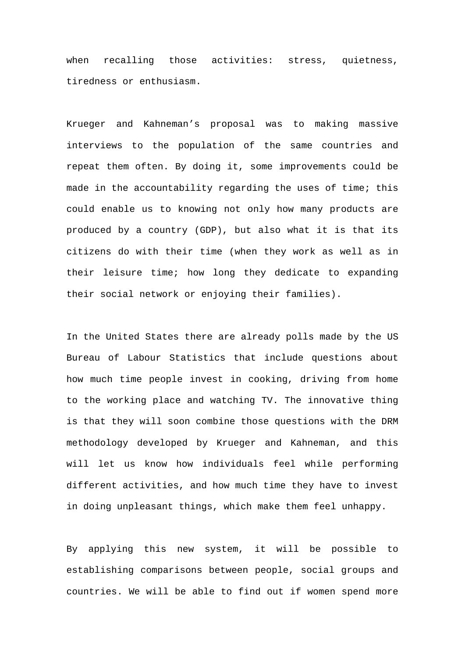when recalling those activities: stress, quietness, tiredness or enthusiasm.

Krueger and Kahneman's proposal was to making massive interviews to the population of the same countries and repeat them often. By doing it, some improvements could be made in the accountability regarding the uses of time; this could enable us to knowing not only how many products are produced by a country (GDP), but also what it is that its citizens do with their time (when they work as well as in their leisure time; how long they dedicate to expanding their social network or enjoying their families).

In the United States there are already polls made by the US Bureau of Labour Statistics that include questions about how much time people invest in cooking, driving from home to the working place and watching TV. The innovative thing is that they will soon combine those questions with the DRM methodology developed by Krueger and Kahneman, and this will let us know how individuals feel while performing different activities, and how much time they have to invest in doing unpleasant things, which make them feel unhappy.

By applying this new system, it will be possible to establishing comparisons between people, social groups and countries. We will be able to find out if women spend more